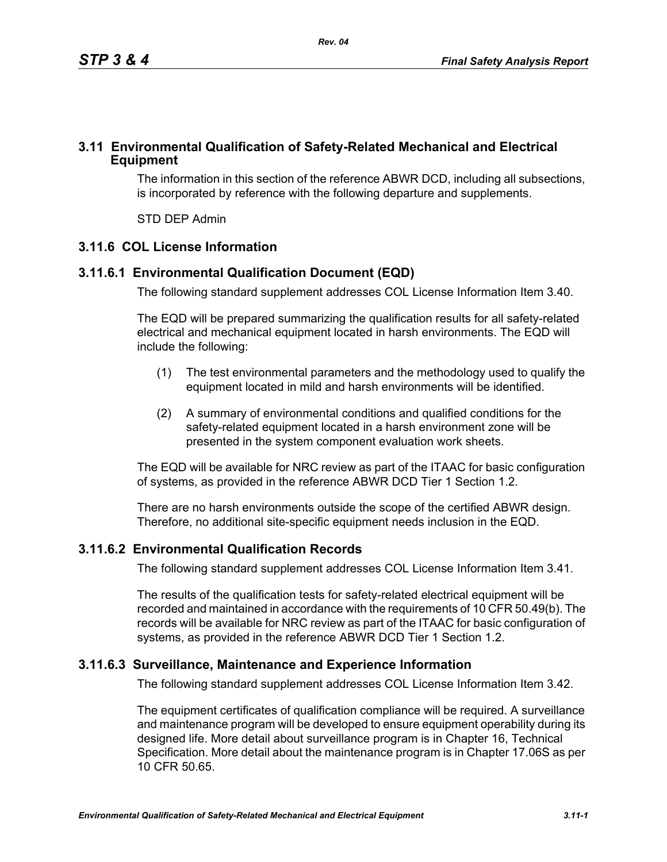### **3.11 Environmental Qualification of Safety-Related Mechanical and Electrical Equipment**

The information in this section of the reference ABWR DCD, including all subsections, is incorporated by reference with the following departure and supplements.

STD DEP Admin

# **3.11.6 COL License Information**

## **3.11.6.1 Environmental Qualification Document (EQD)**

The following standard supplement addresses COL License Information Item 3.40.

The EQD will be prepared summarizing the qualification results for all safety-related electrical and mechanical equipment located in harsh environments. The EQD will include the following:

- (1) The test environmental parameters and the methodology used to qualify the equipment located in mild and harsh environments will be identified.
- (2) A summary of environmental conditions and qualified conditions for the safety-related equipment located in a harsh environment zone will be presented in the system component evaluation work sheets.

The EQD will be available for NRC review as part of the ITAAC for basic configuration of systems, as provided in the reference ABWR DCD Tier 1 Section 1.2.

There are no harsh environments outside the scope of the certified ABWR design. Therefore, no additional site-specific equipment needs inclusion in the EQD.

### **3.11.6.2 Environmental Qualification Records**

The following standard supplement addresses COL License Information Item 3.41.

The results of the qualification tests for safety-related electrical equipment will be recorded and maintained in accordance with the requirements of 10 CFR 50.49(b). The records will be available for NRC review as part of the ITAAC for basic configuration of systems, as provided in the reference ABWR DCD Tier 1 Section 1.2.

### **3.11.6.3 Surveillance, Maintenance and Experience Information**

The following standard supplement addresses COL License Information Item 3.42.

The equipment certificates of qualification compliance will be required. A surveillance and maintenance program will be developed to ensure equipment operability during its designed life. More detail about surveillance program is in Chapter 16, Technical Specification. More detail about the maintenance program is in Chapter 17.06S as per 10 CFR 50.65.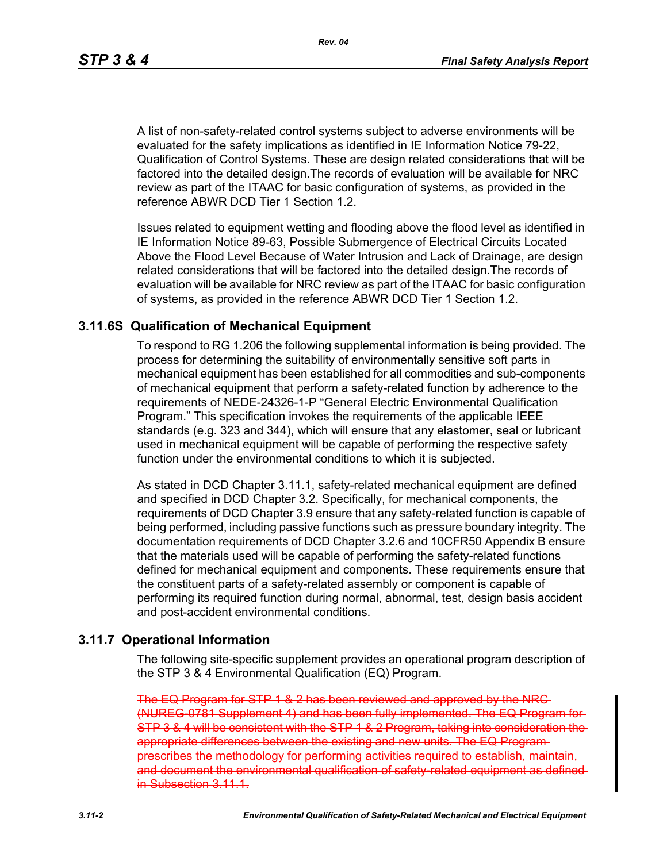*Rev. 04*

A list of non-safety-related control systems subject to adverse environments will be evaluated for the safety implications as identified in IE Information Notice 79-22, Qualification of Control Systems. These are design related considerations that will be factored into the detailed design.The records of evaluation will be available for NRC review as part of the ITAAC for basic configuration of systems, as provided in the reference ABWR DCD Tier 1 Section 1.2.

Issues related to equipment wetting and flooding above the flood level as identified in IE Information Notice 89-63, Possible Submergence of Electrical Circuits Located Above the Flood Level Because of Water Intrusion and Lack of Drainage, are design related considerations that will be factored into the detailed design.The records of evaluation will be available for NRC review as part of the ITAAC for basic configuration of systems, as provided in the reference ABWR DCD Tier 1 Section 1.2.

### **3.11.6S Qualification of Mechanical Equipment**

To respond to RG 1.206 the following supplemental information is being provided. The process for determining the suitability of environmentally sensitive soft parts in mechanical equipment has been established for all commodities and sub-components of mechanical equipment that perform a safety-related function by adherence to the requirements of NEDE-24326-1-P "General Electric Environmental Qualification Program." This specification invokes the requirements of the applicable IEEE standards (e.g. 323 and 344), which will ensure that any elastomer, seal or lubricant used in mechanical equipment will be capable of performing the respective safety function under the environmental conditions to which it is subjected.

As stated in DCD Chapter 3.11.1, safety-related mechanical equipment are defined and specified in DCD Chapter 3.2. Specifically, for mechanical components, the requirements of DCD Chapter 3.9 ensure that any safety-related function is capable of being performed, including passive functions such as pressure boundary integrity. The documentation requirements of DCD Chapter 3.2.6 and 10CFR50 Appendix B ensure that the materials used will be capable of performing the safety-related functions defined for mechanical equipment and components. These requirements ensure that the constituent parts of a safety-related assembly or component is capable of performing its required function during normal, abnormal, test, design basis accident and post-accident environmental conditions.

### **3.11.7 Operational Information**

The following site-specific supplement provides an operational program description of the STP 3 & 4 Environmental Qualification (EQ) Program.

The EQ Program for STP 1 & 2 has been reviewed and approved by (NUREG-0781 Supplement 4) and has been fully implemented. The STP 3 & 4 will be consistent with the STP 1 & 2 Program, taking into consideration the appropriate differences between the existing and new units. The EQ Program prescribes the methodology for performing activities required to establish, maintain and document the environmental qualification of safety related equipment as defined in Subsection 3.11.1.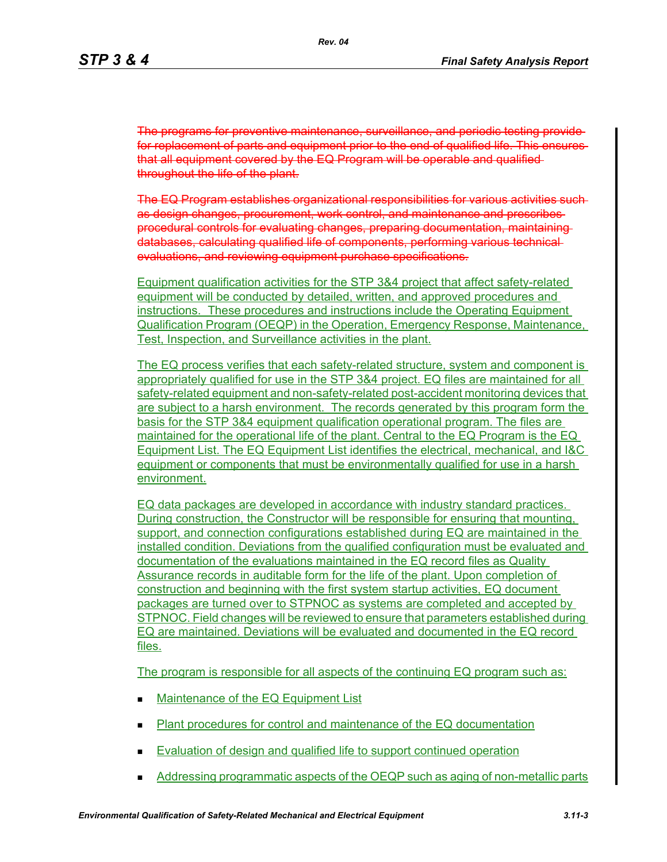The programs for preventive maintenance, surveillance, and periodic testing provide for replacement of parts and equipment prior to the end of qualified life. This ensures that all equipment covered by the EQ Program will be operable and qualified throughout the life of the plant.

The EQ Program establishes organizational responsibilities for various activities such as design changes, procurement, work control, and maintenance and prescribes procedural controls for evaluating changes, preparing documentation, maintaining databases, calculating qualified life of components, performing various technical evaluations, and reviewing equipment purchase specifications.

Equipment qualification activities for the STP 3&4 project that affect safety-related equipment will be conducted by detailed, written, and approved procedures and instructions. These procedures and instructions include the Operating Equipment Qualification Program (OEQP) in the Operation, Emergency Response, Maintenance, Test, Inspection, and Surveillance activities in the plant.

The EQ process verifies that each safety-related structure, system and component is appropriately qualified for use in the STP 3&4 project. EQ files are maintained for all safety-related equipment and non-safety-related post-accident monitoring devices that are subject to a harsh environment. The records generated by this program form the basis for the STP 3&4 equipment qualification operational program. The files are maintained for the operational life of the plant. Central to the EQ Program is the EQ Equipment List. The EQ Equipment List identifies the electrical, mechanical, and I&C equipment or components that must be environmentally qualified for use in a harsh environment.

EQ data packages are developed in accordance with industry standard practices. During construction, the Constructor will be responsible for ensuring that mounting, support, and connection configurations established during EQ are maintained in the installed condition. Deviations from the qualified configuration must be evaluated and documentation of the evaluations maintained in the EQ record files as Quality Assurance records in auditable form for the life of the plant. Upon completion of construction and beginning with the first system startup activities, EQ document packages are turned over to STPNOC as systems are completed and accepted by STPNOC. Field changes will be reviewed to ensure that parameters established during EQ are maintained. Deviations will be evaluated and documented in the EQ record files.

The program is responsible for all aspects of the continuing EQ program such as:

- Maintenance of the EQ Equipment List
- Plant procedures for control and maintenance of the EQ documentation
- Evaluation of design and qualified life to support continued operation
- Addressing programmatic aspects of the OEQP such as aging of non-metallic parts